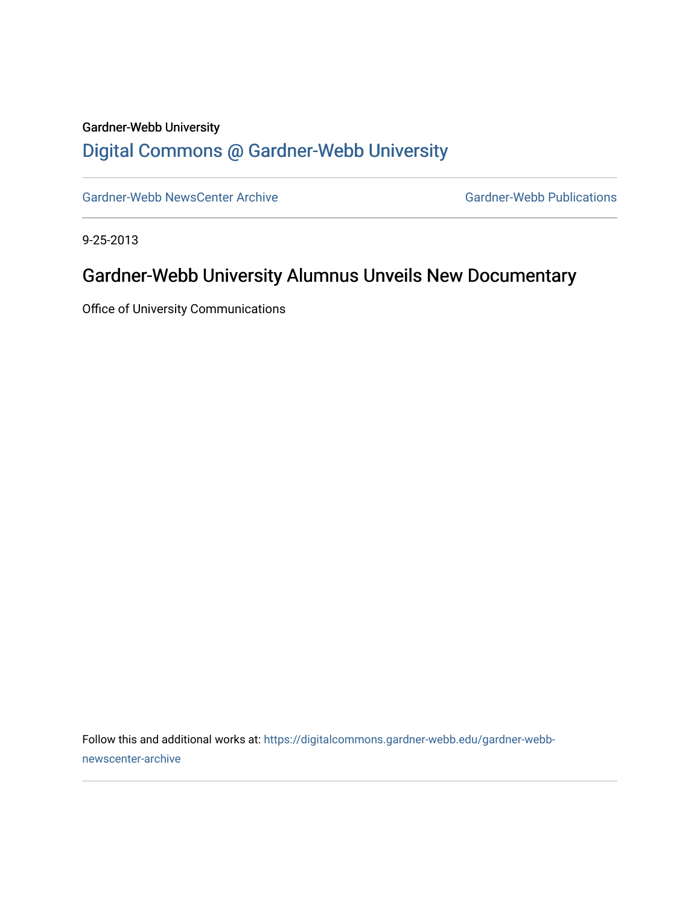## Gardner-Webb University [Digital Commons @ Gardner-Webb University](https://digitalcommons.gardner-webb.edu/)

[Gardner-Webb NewsCenter Archive](https://digitalcommons.gardner-webb.edu/gardner-webb-newscenter-archive) Gardner-Webb Publications

9-25-2013

## Gardner-Webb University Alumnus Unveils New Documentary

Office of University Communications

Follow this and additional works at: [https://digitalcommons.gardner-webb.edu/gardner-webb](https://digitalcommons.gardner-webb.edu/gardner-webb-newscenter-archive?utm_source=digitalcommons.gardner-webb.edu%2Fgardner-webb-newscenter-archive%2F1598&utm_medium=PDF&utm_campaign=PDFCoverPages)[newscenter-archive](https://digitalcommons.gardner-webb.edu/gardner-webb-newscenter-archive?utm_source=digitalcommons.gardner-webb.edu%2Fgardner-webb-newscenter-archive%2F1598&utm_medium=PDF&utm_campaign=PDFCoverPages)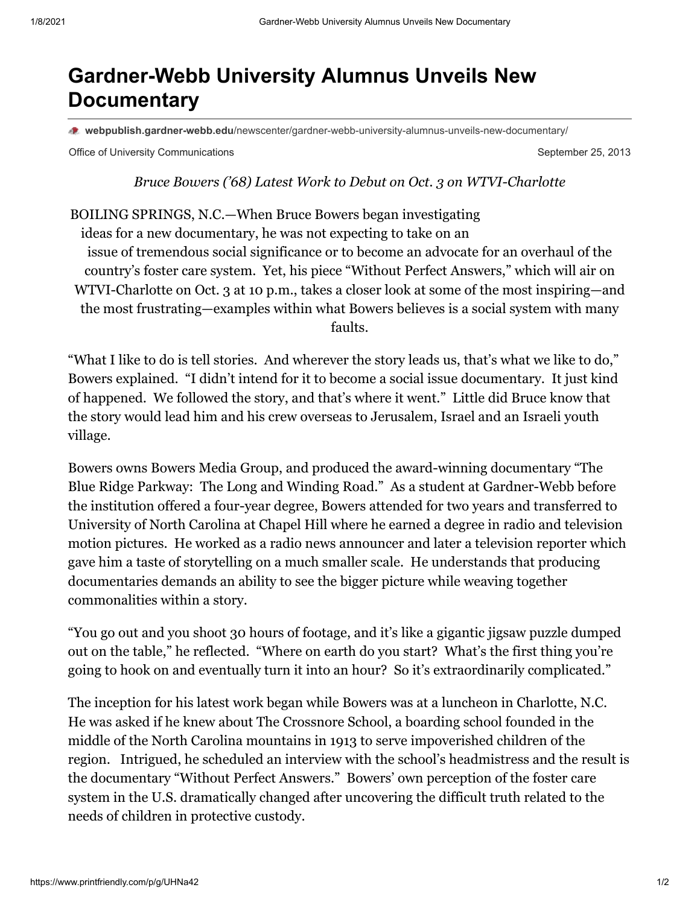## **Gardner-Webb University Alumnus Unveils New Documentary**

**webpublish.gardner-webb.edu**[/newscenter/gardner-webb-university-alumnus-unveils-new-documentary/](https://webpublish.gardner-webb.edu/newscenter/gardner-webb-university-alumnus-unveils-new-documentary/)

Office of University Communications **September 25, 2013** September 25, 2013

*Bruce Bowers ('68) Latest Work to Debut on Oct. 3 on WTVI-Charlotte*

BOILING SPRINGS, N.C.—When Bruce Bowers began investigating ideas for a new documentary, he was not expecting to take on an issue of tremendous social significance or to become an advocate for an overhaul of the country's foster care system. Yet, his piece "Without Perfect Answers," which will air on WTVI-Charlotte on Oct. 3 at 10 p.m., takes a closer look at some of the most inspiring—and the most frustrating—examples within what Bowers believes is a social system with many faults.

"What I like to do is tell stories. And wherever the story leads us, that's what we like to do," Bowers explained. "I didn't intend for it to become a social issue documentary. It just kind of happened. We followed the story, and that's where it went." Little did Bruce know that the story would lead him and his crew overseas to Jerusalem, Israel and an Israeli youth village.

Bowers owns Bowers Media Group, and produced the award-winning documentary "The Blue Ridge Parkway: The Long and Winding Road." As a student at Gardner-Webb before the institution offered a four-year degree, Bowers attended for two years and transferred to University of North Carolina at Chapel Hill where he earned a degree in radio and television motion pictures. He worked as a radio news announcer and later a television reporter which gave him a taste of storytelling on a much smaller scale. He understands that producing documentaries demands an ability to see the bigger picture while weaving together commonalities within a story.

"You go out and you shoot 30 hours of footage, and it's like a gigantic jigsaw puzzle dumped out on the table," he reflected. "Where on earth do you start? What's the first thing you're going to hook on and eventually turn it into an hour? So it's extraordinarily complicated."

The inception for his latest work began while Bowers was at a luncheon in Charlotte, N.C. He was asked if he knew about The Crossnore School, a boarding school founded in the middle of the North Carolina mountains in 1913 to serve impoverished children of the region. Intrigued, he scheduled an interview with the school's headmistress and the result is the documentary "Without Perfect Answers." Bowers' own perception of the foster care system in the U.S. dramatically changed after uncovering the difficult truth related to the needs of children in protective custody.